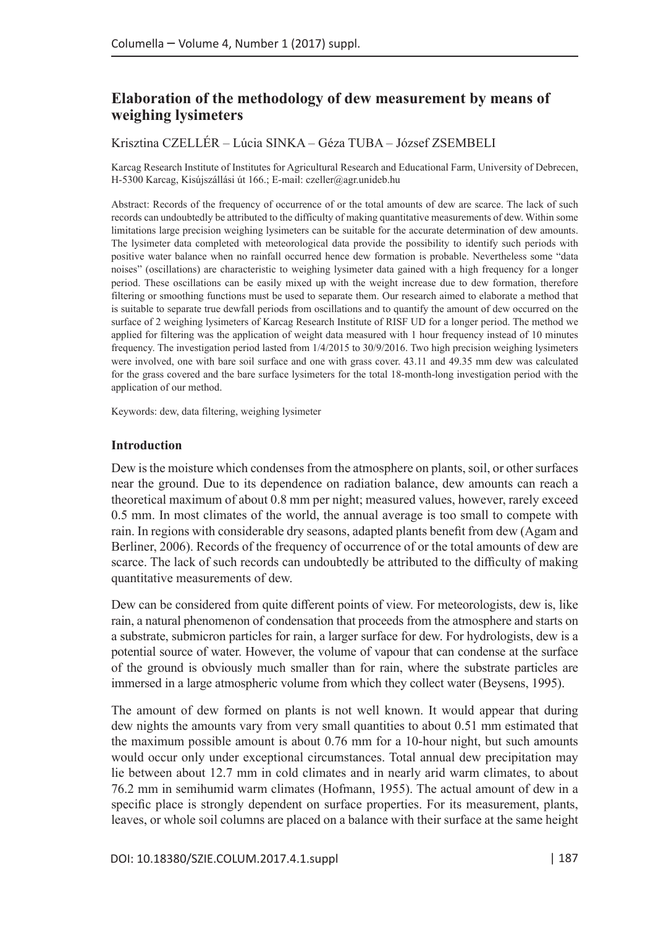# **Elaboration of the methodology of dew measurement by means of weighing lysimeters**

# Krisztina CZELLÉR – Lúcia SINKA – Géza TUBA – József ZSEMBELI

Karcag Research Institute of Institutes for Agricultural Research and Educational Farm, University of Debrecen, H-5300 Karcag, Kisújszállási út 166.; E-mail: [czeller@agr.unideb.hu](mailto:czeller@agr.unideb.hu)

Abstract: Records of the frequency of occurrence of or the total amounts of dew are scarce. The lack of such records can undoubtedly be attributed to the difficulty of making quantitative measurements of dew. Within some limitations large precision weighing lysimeters can be suitable for the accurate determination of dew amounts. The lysimeter data completed with meteorological data provide the possibility to identify such periods with positive water balance when no rainfall occurred hence dew formation is probable. Nevertheless some "data noises" (oscillations) are characteristic to weighing lysimeter data gained with a high frequency for a longer period. These oscillations can be easily mixed up with the weight increase due to dew formation, therefore filtering or smoothing functions must be used to separate them. Our research aimed to elaborate a method that is suitable to separate true dewfall periods from oscillations and to quantify the amount of dew occurred on the surface of 2 weighing lysimeters of Karcag Research Institute of RISF UD for a longer period. The method we applied for filtering was the application of weight data measured with 1 hour frequency instead of 10 minutes frequency. The investigation period lasted from 1/4/2015 to 30/9/2016. Two high precision weighing lysimeters were involved, one with bare soil surface and one with grass cover. 43.11 and 49.35 mm dew was calculated for the grass covered and the bare surface lysimeters for the total 18-month-long investigation period with the application of our method.

Keywords: dew, data filtering, weighing lysimeter

#### **Introduction**

Dew is the moisture which condenses from the atmosphere on plants, soil, or other surfaces near the ground. Due to its dependence on radiation balance, dew amounts can reach a theoretical maximum of about 0.8 mm per night; measured values, however, rarely exceed 0.5 mm. In most climates of the world, the annual average is too small to compete with rain. In regions with considerable dry seasons, adapted plants benefit from dew (Agam and Berliner, 2006). Records of the frequency of occurrence of or the total amounts of dew are scarce. The lack of such records can undoubtedly be attributed to the difficulty of making quantitative measurements of dew.

Dew can be considered from quite different points of view. For meteorologists, dew is, like rain, a natural phenomenon of condensation that proceeds from the atmosphere and starts on a substrate, submicron particles for rain, a larger surface for dew. For hydrologists, dew is a potential source of water. However, the volume of vapour that can condense at the surface of the ground is obviously much smaller than for rain, where the substrate particles are immersed in a large atmospheric volume from which they collect water (Beysens, 1995).

The amount of dew formed on plants is not well known. It would appear that during dew nights the amounts vary from very small quantities to about 0.51 mm estimated that the maximum possible amount is about 0.76 mm for a 10-hour night, but such amounts would occur only under exceptional circumstances. Total annual dew precipitation may lie between about 12.7 mm in cold climates and in nearly arid warm climates, to about 76.2 mm in semihumid warm climates (Hofmann, 1955). The actual amount of dew in a specific place is strongly dependent on surface properties. For its measurement, plants, leaves, or whole soil columns are placed on a balance with their surface at the same height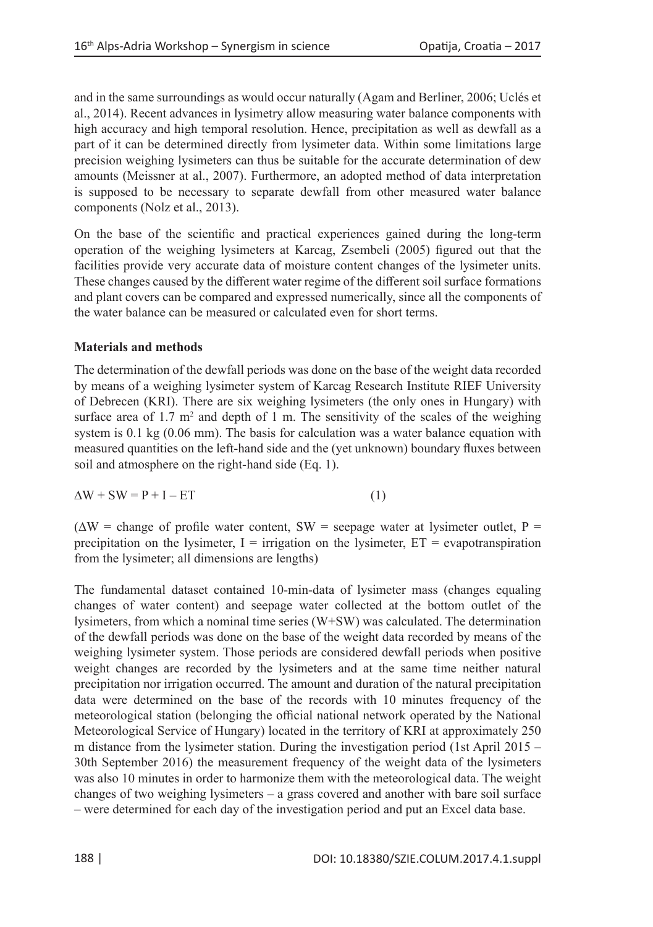and in the same surroundings as would occur naturally (Agam and Berliner, 2006; Uclés et al., 2014). Recent advances in lysimetry allow measuring water balance components with high accuracy and high temporal resolution. Hence, precipitation as well as dewfall as a part of it can be determined directly from lysimeter data. Within some limitations large precision weighing lysimeters can thus be suitable for the accurate determination of dew amounts (Meissner at al., 2007). Furthermore, an adopted method of data interpretation is supposed to be necessary to separate dewfall from other measured water balance components (Nolz et al., 2013).

On the base of the scientific and practical experiences gained during the long-term operation of the weighing lysimeters at Karcag, Zsembeli (2005) figured out that the facilities provide very accurate data of moisture content changes of the lysimeter units. These changes caused by the different water regime of the different soil surface formations and plant covers can be compared and expressed numerically, since all the components of the water balance can be measured or calculated even for short terms.

# **Materials and methods**

The determination of the dewfall periods was done on the base of the weight data recorded by means of a weighing lysimeter system of Karcag Research Institute RIEF University of Debrecen (KRI). There are six weighing lysimeters (the only ones in Hungary) with surface area of 1.7  $m^2$  and depth of 1 m. The sensitivity of the scales of the weighing system is 0.1 kg (0.06 mm). The basis for calculation was a water balance equation with measured quantities on the left-hand side and the (yet unknown) boundary fluxes between soil and atmosphere on the right-hand side (Eq. 1).

$$
\Delta W + SW = P + I - ET \tag{1}
$$

 $(\Delta W = \text{change of profile water content}, SW = \text{sepage water at lysimeter outlet}, P =$ precipitation on the lysimeter,  $I =$  irrigation on the lysimeter,  $ET =$  evapotranspiration from the lysimeter; all dimensions are lengths)

The fundamental dataset contained 10-min-data of lysimeter mass (changes equaling changes of water content) and seepage water collected at the bottom outlet of the lysimeters, from which a nominal time series (W+SW) was calculated. The determination of the dewfall periods was done on the base of the weight data recorded by means of the weighing lysimeter system. Those periods are considered dewfall periods when positive weight changes are recorded by the lysimeters and at the same time neither natural precipitation nor irrigation occurred. The amount and duration of the natural precipitation data were determined on the base of the records with 10 minutes frequency of the meteorological station (belonging the official national network operated by the National Meteorological Service of Hungary) located in the territory of KRI at approximately 250 m distance from the lysimeter station. During the investigation period (1st April 2015 – 30th September 2016) the measurement frequency of the weight data of the lysimeters was also 10 minutes in order to harmonize them with the meteorological data. The weight changes of two weighing lysimeters – a grass covered and another with bare soil surface – were determined for each day of the investigation period and put an Excel data base.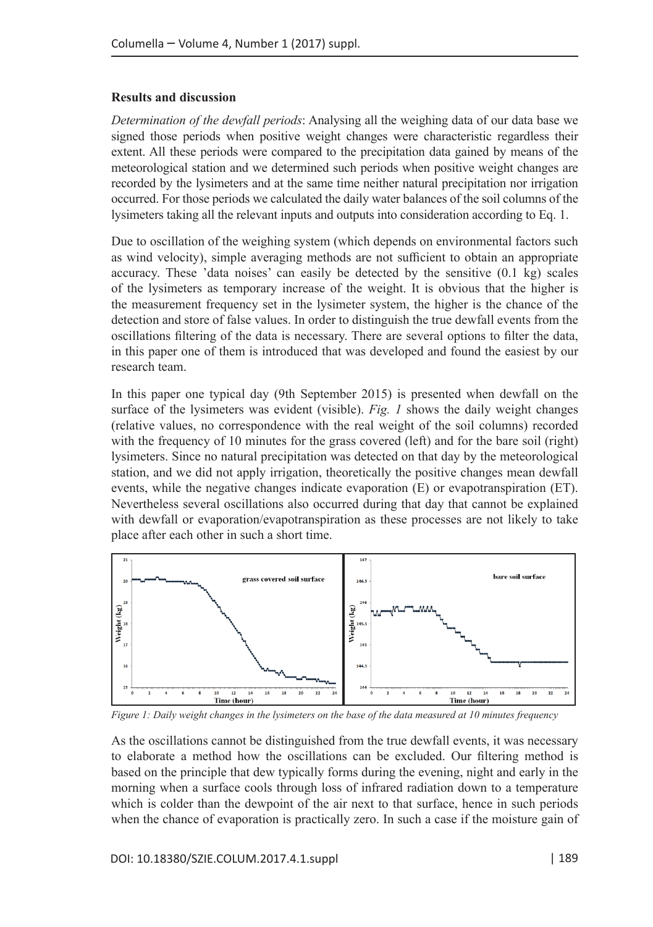#### **Results and discussion**

*Determination of the dewfall periods*: Analysing all the weighing data of our data base we signed those periods when positive weight changes were characteristic regardless their extent. All these periods were compared to the precipitation data gained by means of the meteorological station and we determined such periods when positive weight changes are recorded by the lysimeters and at the same time neither natural precipitation nor irrigation occurred. For those periods we calculated the daily water balances of the soil columns of the lysimeters taking all the relevant inputs and outputs into consideration according to Eq. 1.

Due to oscillation of the weighing system (which depends on environmental factors such as wind velocity), simple averaging methods are not sufficient to obtain an appropriate accuracy. These 'data noises' can easily be detected by the sensitive (0.1 kg) scales of the lysimeters as temporary increase of the weight. It is obvious that the higher is the measurement frequency set in the lysimeter system, the higher is the chance of the detection and store of false values. In order to distinguish the true dewfall events from the oscillations filtering of the data is necessary. There are several options to filter the data, in this paper one of them is introduced that was developed and found the easiest by our research team.

In this paper one typical day (9th September 2015) is presented when dewfall on the surface of the lysimeters was evident (visible). *Fig. 1* shows the daily weight changes (relative values, no correspondence with the real weight of the soil columns) recorded with the frequency of 10 minutes for the grass covered (left) and for the bare soil (right) lysimeters. Since no natural precipitation was detected on that day by the meteorological station, and we did not apply irrigation, theoretically the positive changes mean dewfall events, while the negative changes indicate evaporation (E) or evapotranspiration (ET). Nevertheless several oscillations also occurred during that day that cannot be explained with dewfall or evaporation/evapotranspiration as these processes are not likely to take place after each other in such a short time.



*Figure 1: Daily weight changes in the lysimeters on the base of the data measured at 10 minutes frequency*

As the oscillations cannot be distinguished from the true dewfall events, it was necessary to elaborate a method how the oscillations can be excluded. Our filtering method is based on the principle that dew typically forms during the evening, night and early in the morning when a surface cools through loss of infrared radiation down to a temperature which is colder than the dewpoint of the air next to that surface, hence in such periods when the chance of evaporation is practically zero. In such a case if the moisture gain of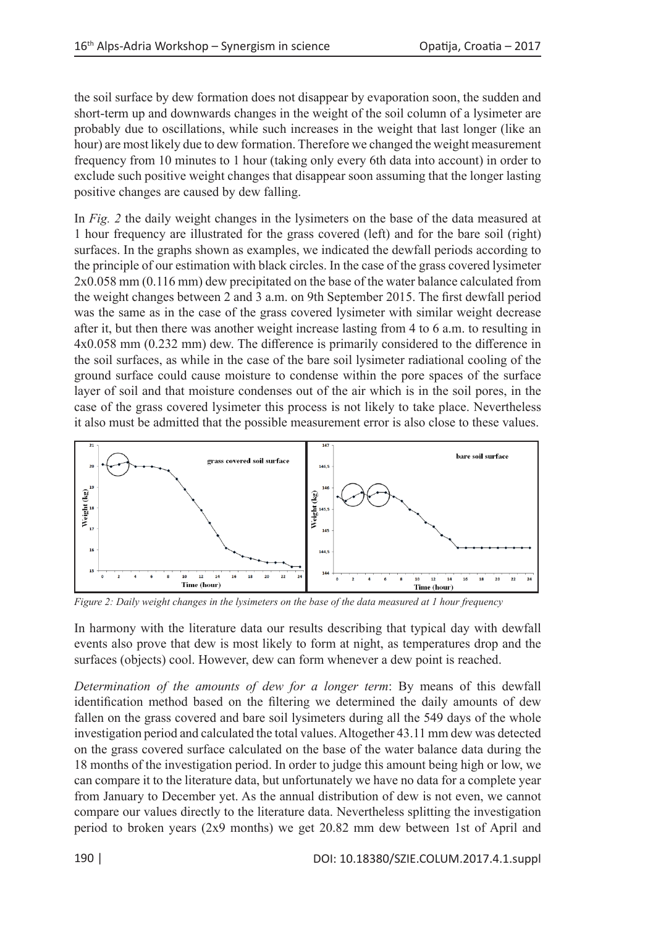the soil surface by dew formation does not disappear by evaporation soon, the sudden and short-term up and downwards changes in the weight of the soil column of a lysimeter are probably due to oscillations, while such increases in the weight that last longer (like an hour) are most likely due to dew formation. Therefore we changed the weight measurement frequency from 10 minutes to 1 hour (taking only every 6th data into account) in order to exclude such positive weight changes that disappear soon assuming that the longer lasting positive changes are caused by dew falling.

In *Fig. 2* the daily weight changes in the lysimeters on the base of the data measured at 1 hour frequency are illustrated for the grass covered (left) and for the bare soil (right) surfaces. In the graphs shown as examples, we indicated the dewfall periods according to the principle of our estimation with black circles. In the case of the grass covered lysimeter 2x0.058 mm (0.116 mm) dew precipitated on the base of the water balance calculated from the weight changes between 2 and 3 a.m. on 9th September 2015. The first dewfall period was the same as in the case of the grass covered lysimeter with similar weight decrease after it, but then there was another weight increase lasting from 4 to 6 a.m. to resulting in 4x0.058 mm (0.232 mm) dew. The difference is primarily considered to the difference in the soil surfaces, as while in the case of the bare soil lysimeter radiational cooling of the ground surface could cause moisture to condense within the pore spaces of the surface layer of soil and that moisture condenses out of the air which is in the soil pores, in the case of the grass covered lysimeter this process is not likely to take place. Nevertheless it also must be admitted that the possible measurement error is also close to these values.



*Figure 2: Daily weight changes in the lysimeters on the base of the data measured at 1 hour frequency*

In harmony with the literature data our results describing that typical day with dewfall events also prove that dew is most likely to form at night, as temperatures drop and the surfaces (objects) cool. However, dew can form whenever a dew point is reached.

*Determination of the amounts of dew for a longer term*: By means of this dewfall identification method based on the filtering we determined the daily amounts of dew fallen on the grass covered and bare soil lysimeters during all the 549 days of the whole investigation period and calculated the total values. Altogether 43.11 mm dew was detected on the grass covered surface calculated on the base of the water balance data during the 18 months of the investigation period. In order to judge this amount being high or low, we can compare it to the literature data, but unfortunately we have no data for a complete year from January to December yet. As the annual distribution of dew is not even, we cannot compare our values directly to the literature data. Nevertheless splitting the investigation period to broken years (2x9 months) we get 20.82 mm dew between 1st of April and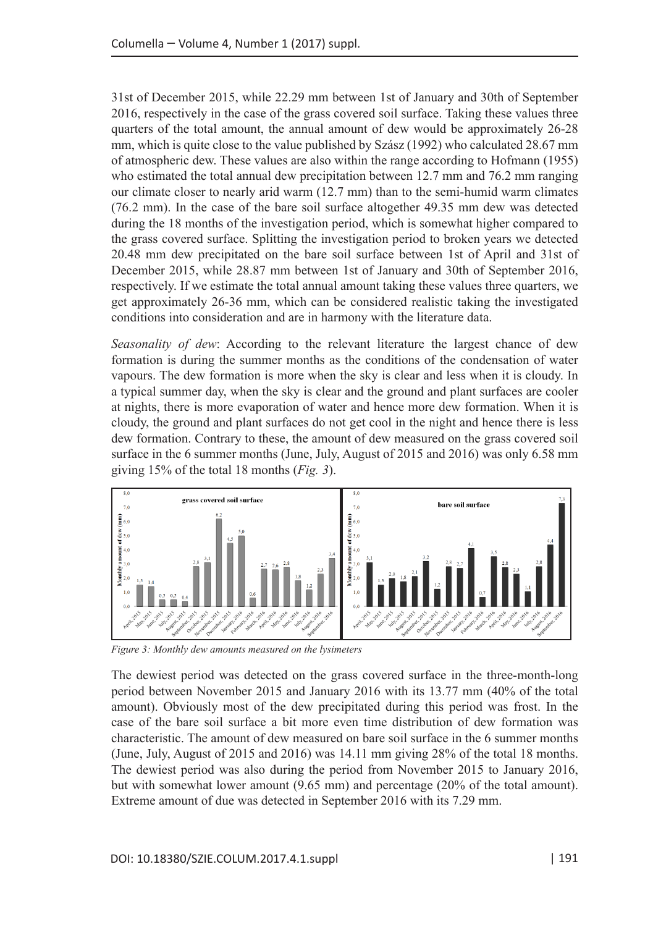31st of December 2015, while 22.29 mm between 1st of January and 30th of September 2016, respectively in the case of the grass covered soil surface. Taking these values three quarters of the total amount, the annual amount of dew would be approximately 26-28 mm, which is quite close to the value published by Szász (1992) who calculated 28.67 mm of atmospheric dew. These values are also within the range according to Hofmann (1955) who estimated the total annual dew precipitation between 12.7 mm and 76.2 mm ranging our climate closer to nearly arid warm (12.7 mm) than to the semi-humid warm climates (76.2 mm). In the case of the bare soil surface altogether 49.35 mm dew was detected during the 18 months of the investigation period, which is somewhat higher compared to the grass covered surface. Splitting the investigation period to broken years we detected 20.48 mm dew precipitated on the bare soil surface between 1st of April and 31st of December 2015, while 28.87 mm between 1st of January and 30th of September 2016, respectively. If we estimate the total annual amount taking these values three quarters, we get approximately 26-36 mm, which can be considered realistic taking the investigated conditions into consideration and are in harmony with the literature data.

*Seasonality of dew*: According to the relevant literature the largest chance of dew formation is during the summer months as the conditions of the condensation of water vapours. The dew formation is more when the sky is clear and less when it is cloudy. In a typical summer day, when the sky is clear and the ground and plant surfaces are cooler at nights, there is more evaporation of water and hence more dew formation. When it is cloudy, the ground and plant surfaces do not get cool in the night and hence there is less dew formation. Contrary to these, the amount of dew measured on the grass covered soil surface in the 6 summer months (June, July, August of 2015 and 2016) was only 6.58 mm giving 15% of the total 18 months (*Fig. 3*).



*Figure 3: Monthly dew amounts measured on the lysimeters*

The dewiest period was detected on the grass covered surface in the three-month-long period between November 2015 and January 2016 with its 13.77 mm (40% of the total amount). Obviously most of the dew precipitated during this period was frost. In the case of the bare soil surface a bit more even time distribution of dew formation was characteristic. The amount of dew measured on bare soil surface in the 6 summer months (June, July, August of 2015 and 2016) was 14.11 mm giving 28% of the total 18 months. The dewiest period was also during the period from November 2015 to January 2016, but with somewhat lower amount (9.65 mm) and percentage (20% of the total amount). Extreme amount of due was detected in September 2016 with its 7.29 mm.